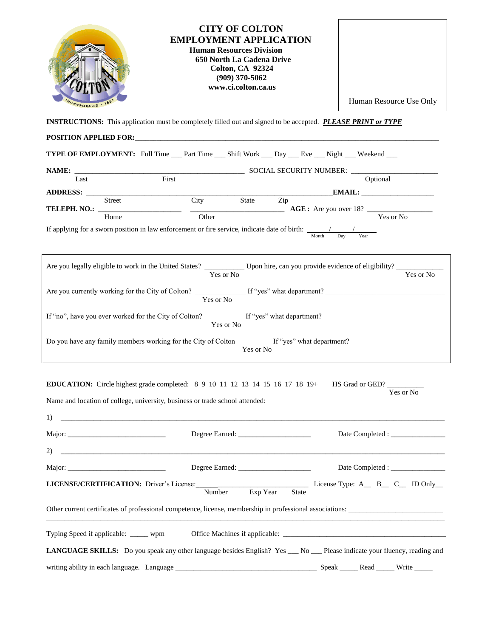| <b>CITY OF COLTON</b><br><b>EMPLOYMENT APPLICATION</b><br><b>Human Resources Division</b><br>650 North La Cadena Drive<br><b>Colton, CA 92324</b><br>$(909)$ 370-5062<br>www.ci.colton.ca.us |                                                                                                                                                                       |                            |          |              |  |                                                                                                                          |  |  |  |
|----------------------------------------------------------------------------------------------------------------------------------------------------------------------------------------------|-----------------------------------------------------------------------------------------------------------------------------------------------------------------------|----------------------------|----------|--------------|--|--------------------------------------------------------------------------------------------------------------------------|--|--|--|
| <b>CORPORATED</b>                                                                                                                                                                            |                                                                                                                                                                       |                            |          |              |  | Human Resource Use Only                                                                                                  |  |  |  |
| <b>INSTRUCTIONS:</b> This application must be completely filled out and signed to be accepted. <b>PLEASE PRINT or TYPE</b>                                                                   |                                                                                                                                                                       |                            |          |              |  |                                                                                                                          |  |  |  |
|                                                                                                                                                                                              | POSITION APPLIED FOR: <b>ACCEPT ACCEPT ACCEPT</b>                                                                                                                     |                            |          |              |  |                                                                                                                          |  |  |  |
|                                                                                                                                                                                              | <b>TYPE OF EMPLOYMENT:</b> Full Time ___ Part Time ___ Shift Work ___ Day ___ Eve ___ Night ___ Weekend ___                                                           |                            |          |              |  |                                                                                                                          |  |  |  |
|                                                                                                                                                                                              | <b>NAME:</b> Last <b>EXECURITY NUMBER:</b> Last <b>CONSIDER EXECURITY NUMBER:</b> <u>Coptiona</u>                                                                     |                            |          |              |  | Optional                                                                                                                 |  |  |  |
|                                                                                                                                                                                              |                                                                                                                                                                       |                            |          |              |  | EMAIL:                                                                                                                   |  |  |  |
|                                                                                                                                                                                              | ADDRESS: <u>Street City</u>                                                                                                                                           |                            | State    | Zip          |  |                                                                                                                          |  |  |  |
|                                                                                                                                                                                              | Home                                                                                                                                                                  | Other                      |          |              |  | Yes or No                                                                                                                |  |  |  |
|                                                                                                                                                                                              | If applying for a sworn position in law enforcement or fire service, indicate date of birth: $\frac{1}{x} \frac{1}{x} \frac{1}{x} \frac{1}{x}$                        |                            |          |              |  |                                                                                                                          |  |  |  |
| Are you legally eligible to work in the United States? ____________ Upon hire, can you provide evidence of eligibility? ___________<br>Yes or No<br>Yes or No                                |                                                                                                                                                                       |                            |          |              |  |                                                                                                                          |  |  |  |
| Are you currently working for the City of Colton? $\frac{Y_{\text{res}}}{Y_{\text{res}} \text{ or } N_o}$ If "yes" what department?                                                          |                                                                                                                                                                       |                            |          |              |  |                                                                                                                          |  |  |  |
|                                                                                                                                                                                              |                                                                                                                                                                       |                            |          |              |  | If "no", have you ever worked for the City of Colton? $\frac{1}{\sqrt{\text{Yes or No}}}$ If "yes" what department?      |  |  |  |
| Yes or No                                                                                                                                                                                    |                                                                                                                                                                       |                            |          |              |  |                                                                                                                          |  |  |  |
|                                                                                                                                                                                              | <b>EDUCATION:</b> Circle highest grade completed: $89 10 11 12 13 14 15 16 17 18 19+$<br>Name and location of college, university, business or trade school attended: |                            |          |              |  | HS Grad or GED?<br>Yes or No                                                                                             |  |  |  |
|                                                                                                                                                                                              | $\overline{1}$ ) $\overline{1}$                                                                                                                                       |                            |          |              |  |                                                                                                                          |  |  |  |
|                                                                                                                                                                                              |                                                                                                                                                                       |                            |          |              |  |                                                                                                                          |  |  |  |
|                                                                                                                                                                                              |                                                                                                                                                                       |                            |          |              |  |                                                                                                                          |  |  |  |
|                                                                                                                                                                                              |                                                                                                                                                                       |                            |          |              |  |                                                                                                                          |  |  |  |
|                                                                                                                                                                                              | LICENSE/CERTIFICATION: Driver's License:                                                                                                                              | $\overline{\text{Number}}$ | Exp Year | <b>State</b> |  | License Type: $A \_ B \_ C \_$ ID Only                                                                                   |  |  |  |
|                                                                                                                                                                                              |                                                                                                                                                                       |                            |          |              |  | Other current certificates of professional competence, license, membership in professional associations:                 |  |  |  |
|                                                                                                                                                                                              | Typing Speed if applicable: _____ wpm                                                                                                                                 |                            |          |              |  |                                                                                                                          |  |  |  |
|                                                                                                                                                                                              |                                                                                                                                                                       |                            |          |              |  | LANGUAGE SKILLS: Do you speak any other language besides English? Yes __ No __ Please indicate your fluency, reading and |  |  |  |
|                                                                                                                                                                                              |                                                                                                                                                                       |                            |          |              |  | Speak ______ Read _____ Write _____                                                                                      |  |  |  |